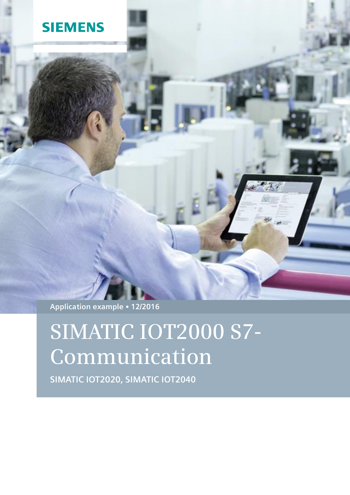## **SIEMENS**

**Application example 12/2016**

# **SIMATIC IOT2000 S7- Communication**

**SIMATIC IOT2020, SIMATIC IOT2040**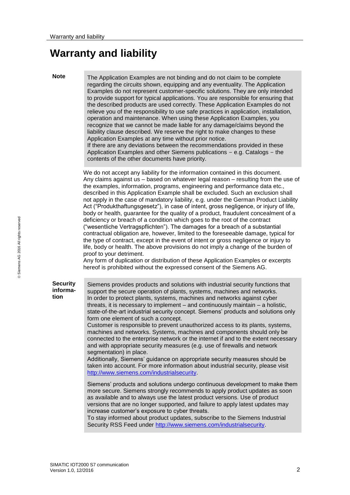### <span id="page-1-0"></span>**Warranty and liability**

**Note** The Application Examples are not binding and do not claim to be complete regarding the circuits shown, equipping and any eventuality. The Application Examples do not represent customer-specific solutions. They are only intended to provide support for typical applications. You are responsible for ensuring that the described products are used correctly. These Application Examples do not relieve you of the responsibility to use safe practices in application, installation, operation and maintenance. When using these Application Examples, you recognize that we cannot be made liable for any damage/claims beyond the liability clause described. We reserve the right to make changes to these Application Examples at any time without prior notice.

If there are any deviations between the recommendations provided in these Application Examples and other Siemens publications – e.g. Catalogs – the contents of the other documents have priority.

We do not accept any liability for the information contained in this document. Any claims against us – based on whatever legal reason – resulting from the use of the examples, information, programs, engineering and performance data etc., described in this Application Example shall be excluded. Such an exclusion shall not apply in the case of mandatory liability, e.g. under the German Product Liability Act ("Produkthaftungsgesetz"), in case of intent, gross negligence, or injury of life, body or health, guarantee for the quality of a product, fraudulent concealment of a deficiency or breach of a condition which goes to the root of the contract ("wesentliche Vertragspflichten"). The damages for a breach of a substantial contractual obligation are, however, limited to the foreseeable damage, typical for the type of contract, except in the event of intent or gross negligence or injury to life, body or health. The above provisions do not imply a change of the burden of proof to your detriment.

Any form of duplication or distribution of these Application Examples or excerpts hereof is prohibited without the expressed consent of the Siemens AG.

**Security information**

Siemens provides products and solutions with industrial security functions that support the secure operation of plants, systems, machines and networks. In order to protect plants, systems, machines and networks against cyber threats, it is necessary to implement – and continuously maintain – a holistic, state-of-the-art industrial security concept. Siemens' products and solutions only form one element of such a concept.

Customer is responsible to prevent unauthorized access to its plants, systems, machines and networks. Systems, machines and components should only be connected to the enterprise network or the internet if and to the extent necessary and with appropriate security measures (e.g. use of firewalls and network segmentation) in place.

Additionally, Siemens' guidance on appropriate security measures should be taken into account. For more information about industrial security, please visi[t](http://www.siemens.com/industrialsecurity) [http://www.siemens.com/industrialsecurity.](http://www.siemens.com/industrialsecurity)

Siemens' products and solutions undergo continuous development to make them more secure. Siemens strongly recommends to apply product updates as soon as available and to always use the latest product versions. Use of product versions that are no longer supported, and failure to apply latest updates may increase customer's exposure to cyber threats.

To stay informed about product updates, subscribe to the Siemens Industrial Security RSS Feed under [http://www.siemens.com/industrialsecurity.](http://www.siemens.com/industrialsecurity)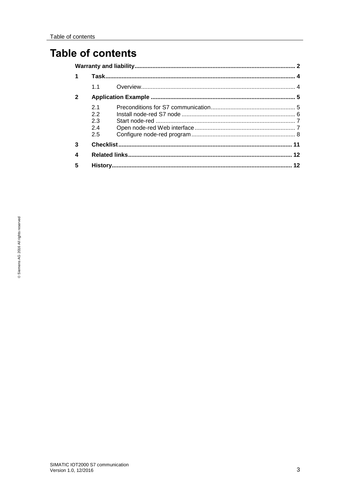### **Table of contents**

|              | 11  |  |
|--------------|-----|--|
| $\mathbf{2}$ |     |  |
|              | 21  |  |
|              | 22  |  |
|              | 2.3 |  |
|              | 24  |  |
|              | 2.5 |  |
| 3            |     |  |
| 4            |     |  |
| 5            |     |  |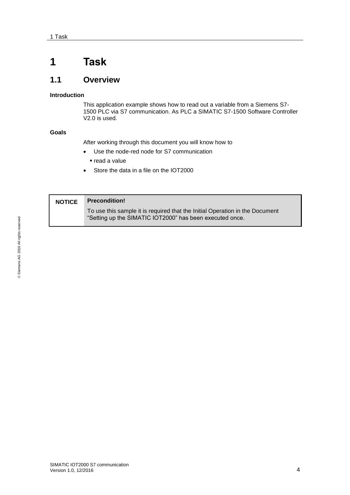### <span id="page-3-0"></span>**1 Task**

### <span id="page-3-1"></span>**1.1 Overview**

#### **Introduction**

This application example shows how to read out a variable from a Siemens S7- 1500 PLC via S7 communication. As PLC a SIMATIC S7-1500 Software Controller V2.0 is used.

#### **Goals**

After working through this document you will know how to

- Use the node-red node for S7 communication
	- read a value
- Store the data in a file on the IOT2000

| <b>NOTICE</b> | <b>Precondition!</b>                                                                                                                     |
|---------------|------------------------------------------------------------------------------------------------------------------------------------------|
|               | To use this sample it is required that the Initial Operation in the Document<br>"Setting up the SIMATIC IOT2000" has been executed once. |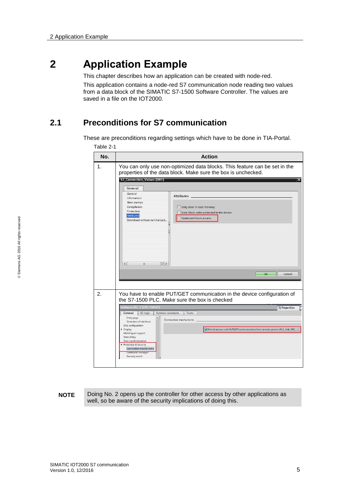### <span id="page-4-0"></span>**2 Application Example**

This chapter describes how an application can be created with node-red.

This application contains a node-red S7 communication node reading two values from a data block of the SIMATIC S7-1500 Software Controller. The values are saved in a file on the IOT2000.

### <span id="page-4-1"></span>**2.1 Preconditions for S7 communication**

These are preconditions regarding settings which have to be done in TIA-Portal. Table 2-1

| No.         | <b>Action</b>                                                                                                                                                                                                                                                                                                                                                                                                                                                                                                                                                                      |
|-------------|------------------------------------------------------------------------------------------------------------------------------------------------------------------------------------------------------------------------------------------------------------------------------------------------------------------------------------------------------------------------------------------------------------------------------------------------------------------------------------------------------------------------------------------------------------------------------------|
| $\mathbf 1$ | You can only use non-optimized data blocks. This feature can be set in the<br>properties of the data block. Make sure the box is unchecked.<br><b>S7_Connection_Values [DB1]</b><br>$\overline{\mathsf{x}}$<br>General<br>General<br><b>Attributes</b><br>Information<br>Time stamps<br>Compilation<br>Only store in load memory<br>Protection<br>Data block write-protected in the device<br>Attributes<br>Optimized block access<br>Download without reinitializati<br>$\hat{~}$<br>m<br>$\rightarrow$<br>Cancel<br>OK                                                           |
| 2.          | You have to enable PUT/GET communication in the device configuration of<br>the S7-1500 PLC. Make sure the box is checked<br>Software PLC_1 [CPU 1505SP]<br><sup>Q</sup> Properties<br>System constants<br>Texts<br>General<br>IO tags<br>Entry page<br>Connection mechanisms<br>Overview of interfaces<br>DNS configuration<br>Display<br>Permit access with PUT/GET communication from remote partner (PLC, HMI, OPC, )<br>Multilingual support<br>Time of day<br>Time synchronization<br>Protection & Security<br>Connection mechanisms<br>Certificate manager<br>Security event |

#### **NOTE** Doing No. 2 opens up the controller for other access by other applications as well, so be aware of the security implications of doing this.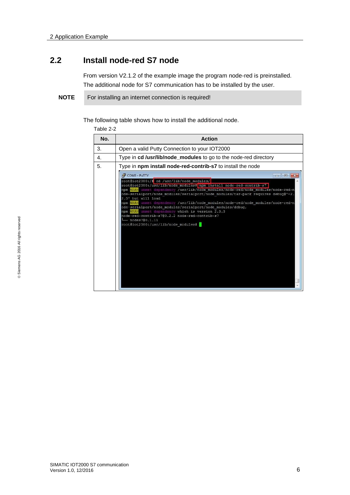#### <span id="page-5-0"></span>**2.2 Install node-red S7 node**

From version V2.1.2 of the example image the program node-red is preinstalled. The additional node for S7 communication has to be installed by the user.

**NOTE** For installing an internet connection is required!

The following table shows how to install the additional node.

Table 2-2

| No.            | <b>Action</b>                                                                                                                                                                                                                                                                                                                                                                                                                                                                                                                                                                                                                                                              |
|----------------|----------------------------------------------------------------------------------------------------------------------------------------------------------------------------------------------------------------------------------------------------------------------------------------------------------------------------------------------------------------------------------------------------------------------------------------------------------------------------------------------------------------------------------------------------------------------------------------------------------------------------------------------------------------------------|
| 3.             | Open a valid Putty Connection to your IOT2000                                                                                                                                                                                                                                                                                                                                                                                                                                                                                                                                                                                                                              |
| $\mathbf{4}$ . | Type in cd /usr/lib/node_modules to go to the node-red directory                                                                                                                                                                                                                                                                                                                                                                                                                                                                                                                                                                                                           |
| 5.             | Type in npm install node-red-contrib-s7 to install the node                                                                                                                                                                                                                                                                                                                                                                                                                                                                                                                                                                                                                |
|                | COM3 - PuTTY<br>$\Box$   $\Box$   $X$<br>root@iot2000:/# cd /usr/lib/node modules/<br>root@iot2000:/usr/lib/node modules# npm install node-red-contrib-s7<br>npm WARN unmet dependency /usr/lib/node modules/node-red/node modules/node-red-n<br>ode-serialport/node modules/serialport/node modules/tar-pack requires debug@'~2.<br>2.0' but will load<br>npm WARN unmet dependency /usr/lib/node modules/node-red/node modules/node-red-n<br>ode-serialport/node modules/serialport/node modules/debug,<br>npm WARN unmet dependency which is version 2.3.3<br>node-red-contrib-s7@0.2.2 node-red-contrib-s7<br>$-$ nodes700.1.11<br>root@iot2000:/usr/lib/node modules# |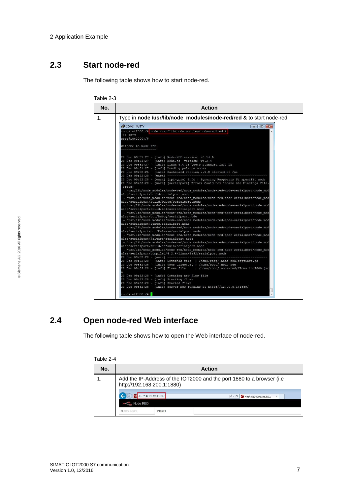#### <span id="page-6-0"></span>**2.3 Start node-red**

The following table shows how to start node-red.

| No.            | <b>Action</b>                                                                                                                                                                                                                                                                                                                                                                                                                                                                                                                                                                                                                                                                                                                                                                                                                                                                                                                                                                                                                                                                                                                                                                                                                                                                                                                                                                                                                                                                                                                                                                                                                                                                                                                                                                                                                                                                                                                                                                                                                                                                                                                                                                                                                                                                                                                                                               |  |  |
|----------------|-----------------------------------------------------------------------------------------------------------------------------------------------------------------------------------------------------------------------------------------------------------------------------------------------------------------------------------------------------------------------------------------------------------------------------------------------------------------------------------------------------------------------------------------------------------------------------------------------------------------------------------------------------------------------------------------------------------------------------------------------------------------------------------------------------------------------------------------------------------------------------------------------------------------------------------------------------------------------------------------------------------------------------------------------------------------------------------------------------------------------------------------------------------------------------------------------------------------------------------------------------------------------------------------------------------------------------------------------------------------------------------------------------------------------------------------------------------------------------------------------------------------------------------------------------------------------------------------------------------------------------------------------------------------------------------------------------------------------------------------------------------------------------------------------------------------------------------------------------------------------------------------------------------------------------------------------------------------------------------------------------------------------------------------------------------------------------------------------------------------------------------------------------------------------------------------------------------------------------------------------------------------------------------------------------------------------------------------------------------------------------|--|--|
| 1 <sub>1</sub> | Type in node /usr/lib/node_modules/node-red/red & to start node-red                                                                                                                                                                                                                                                                                                                                                                                                                                                                                                                                                                                                                                                                                                                                                                                                                                                                                                                                                                                                                                                                                                                                                                                                                                                                                                                                                                                                                                                                                                                                                                                                                                                                                                                                                                                                                                                                                                                                                                                                                                                                                                                                                                                                                                                                                                         |  |  |
|                | COM3 - PuTTY<br>$\Box$ $\Box$<br>root@iot2000:/# node /usr/lib/node modules/node-red/red &<br>[1] 1879<br>root@iot2000:/#<br>Welcome to Node-RED<br>20 Dec 09:31:27 - [info] Node-RED version: v0.14.6<br>20 Dec 09:31:27 - [info] Node.js version: v4.2.4<br>20 Dec 09:31:27 - [info] Linux 4.4.13-yocto-standard ia32 LE<br>20 Dec 09:31:27 - [info] Loading palette nodes<br>20 Dec 09:32:26 - [info] Dashboard version 2.1.0 started at /ui<br>20 Dec 09:32:28 - [warn] ---------<br>20 Dec 09:32:28 - [warn] [rpi-gpio] Info : Ignoring Raspberry Pi specific node<br>20 Dec 09:32:28 - [warn] [serialport] Error: Could not locate the bindings file.<br>Tried:<br>- /usr/lib/node modules/node-red/node modules/node-red-node-serialport/node mod<br>ules/serialport/build/serialport.node<br>→ /usr/lib/node modules/node-red/node modules/node-red-node-serialport/node mod<br>ules/serialport/build/Debug/serialport.node<br>- /usr/lib/node modules/node-red/node modules/node-red-node-serialport/node mod<br>ules/serialport/build/Release/serialport.node<br>→ /usr/lib/node modules/node-red/node modules/node-red-node-serialport/node mod<br>ules/serialport/out/Debug/serialport.node<br>- /usr/lib/node modules/node-red/node modules/node-red-node-serialport/node mod<br>ules/serialport/Debug/serialport.node<br>- /usr/lib/node modules/node-red/node modules/node-red-node-serialport/node mod<br>ules/serialport/out/Release/serialport.node<br>- /usr/lib/node modules/node-red/node modules/node-red-node-serialport/node mod<br>ules/serialport/Release/serialport.node<br>- /usr/lib/node modules/node-red/node modules/node-red-node-serialport/node mod<br>ules/serialport/build/default/serialport.node<br>→ /usr/lib/node modules/node-red/node modules/node-red-node-serialport/node mod<br>ules/serialport/compiled/4.2.4/linux/ia32/serialport.node<br>20 Dec 09:32:28 - [warn] -------<br>20 Dec 09:32:28 - [info] Settings file : /home/root/.node-red/settings.js<br>20 Dec 09:32:28 - [info] User directory : /home/root/.node-red<br>20 Dec 09:32:28 - [info] Flows file : /home/root/.node-red/flows iot2000.jso<br>20 Dec 09:32:28 - [info] Creating new flow file<br>20 Dec 09:32:28 - [info] Starting flows<br>20 Dec 09:32:28 - [info] Started flows<br>20 Dec 09:32:28 - [info] Server now running at http://127.0.0.1:1880/ |  |  |

### <span id="page-6-1"></span>**2.4 Open node-red Web interface**

The following table shows how to open the Web interface of node-red.

| Table 2-4 |                                                                                                     |                            |                                                     |  |
|-----------|-----------------------------------------------------------------------------------------------------|----------------------------|-----------------------------------------------------|--|
| No.       | <b>Action</b>                                                                                       |                            |                                                     |  |
|           | Add the IP-Address of the IOT2000 and the port 1880 to a browser (i.e<br>http://192.168.200.1:1880) |                            |                                                     |  |
|           | <b>OC Node-RED</b>                                                                                  | http://192.168.200.1:1880/ | $\circ$<br>Node-RED: 192.168.200.1<br>Ć<br>$\times$ |  |
|           | <b>Q</b> filter nodes                                                                               | Flow 1                     |                                                     |  |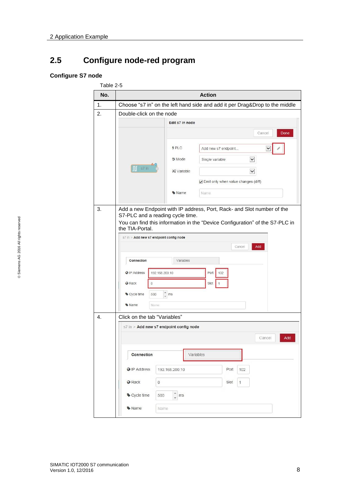### <span id="page-7-0"></span>**2.5 Configure node-red program**

#### **Configure S7 node**

| No. |                                                                                                                                            | <b>Action</b>                                     |  |
|-----|--------------------------------------------------------------------------------------------------------------------------------------------|---------------------------------------------------|--|
| 1.  | Choose "s7 in" on the left hand side and add it per Drag&Drop to the middle                                                                |                                                   |  |
| 2.  | Double-click on the node                                                                                                                   |                                                   |  |
|     |                                                                                                                                            | Edit s7 in node                                   |  |
|     |                                                                                                                                            | Cancel<br>Done                                    |  |
|     | 9PLC                                                                                                                                       | Add new s7 endpoint                               |  |
|     |                                                                                                                                            |                                                   |  |
|     | $\prod$ s7 in                                                                                                                              | $\check{ }$<br>호 Mode<br>Single variable          |  |
|     |                                                                                                                                            | <b>CC</b> Variable<br>$\checkmark$                |  |
|     |                                                                                                                                            | Emit only when value changes (diff)               |  |
|     |                                                                                                                                            | Name<br>Name                                      |  |
|     | the TIA-Portal.<br>s7 in > Add new s7 endpoint config node<br>Connection<br>@ IP Address<br>192.168.200.10<br><b>O</b> Rack<br>$\mathbb O$ | Cancel<br>Add<br>Variables<br>Port<br>102<br>Slot |  |
|     | $\hat{\zeta}$ ms<br>Cycle time<br>500                                                                                                      |                                                   |  |
|     | Name<br>Name                                                                                                                               |                                                   |  |
| 4.  | Click on the tab "Variables"                                                                                                               |                                                   |  |
|     | s7 in > Add new s7 endpoint config node                                                                                                    | Add<br>Cancel                                     |  |
|     | Connection                                                                                                                                 | Variables                                         |  |
|     | @ IP Address<br>192.168.200.10                                                                                                             | Port<br>102                                       |  |
|     | <b>C</b> Rack<br>0                                                                                                                         | Slot<br>$\mathbf{1}$                              |  |
|     | Cycle time<br>500                                                                                                                          | $\frac{4}{x}$ ms                                  |  |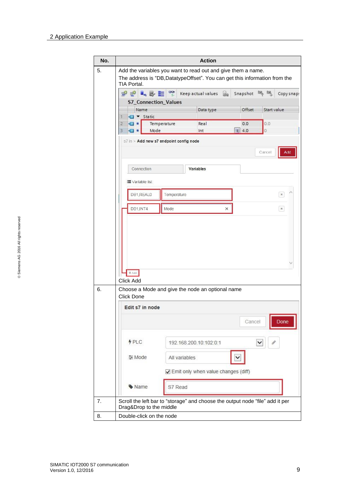| No. |                                                                                                                                                           | <b>Action</b>                       |          |             |                       |
|-----|-----------------------------------------------------------------------------------------------------------------------------------------------------------|-------------------------------------|----------|-------------|-----------------------|
| 5.  | Add the variables you want to read out and give them a name.<br>The address is "DB, DatatypeOffset". You can get this information from the<br>TIA Portal. |                                     |          |             |                       |
|     | <b>PPLET</b>                                                                                                                                              | Keep actual values a                | Snapshot | 18,<br>щ,   | Copy snap:            |
|     | <b>S7_Connection_Values</b>                                                                                                                               |                                     |          |             |                       |
|     | Name                                                                                                                                                      | Data type                           | Offset   | Start value |                       |
|     | └ <b></b> ▼ Static<br>Ŧ                                                                                                                                   |                                     |          |             |                       |
|     | 2<br>$\blacksquare$<br>Temperature                                                                                                                        | Real                                | 0.0      | 0.0         |                       |
|     | Mode<br>В<br>☜                                                                                                                                            | Int                                 | ■ 4.0    | 0           |                       |
|     | s7 in > Add new s7 endpoint config node                                                                                                                   |                                     |          |             |                       |
|     |                                                                                                                                                           |                                     |          | Cancel      | Add                   |
|     |                                                                                                                                                           |                                     |          |             |                       |
|     | Connection                                                                                                                                                | Variables                           |          |             |                       |
|     | ■ Variable list                                                                                                                                           |                                     |          |             |                       |
|     |                                                                                                                                                           |                                     |          |             |                       |
|     | DB1.REAL0                                                                                                                                                 | Temperature                         |          |             | $\pmb{\times}$        |
|     |                                                                                                                                                           |                                     |          |             |                       |
|     | DB1, INT4<br>Mode                                                                                                                                         |                                     | ×        |             | $\boldsymbol{\times}$ |
|     | $+Add$                                                                                                                                                    |                                     |          |             |                       |
|     | Click Add                                                                                                                                                 |                                     |          |             |                       |
|     | Choose a Mode and give the node an optional name                                                                                                          |                                     |          |             |                       |
|     | Click Done<br>Edit s7 in node                                                                                                                             |                                     |          |             |                       |
|     |                                                                                                                                                           |                                     |          |             |                       |
|     |                                                                                                                                                           |                                     | Cancel   |             | Done                  |
|     |                                                                                                                                                           |                                     |          |             |                       |
|     | \$PLC                                                                                                                                                     | 192.168.200.10:102:0:1              |          | ╰           |                       |
|     |                                                                                                                                                           |                                     |          |             |                       |
|     |                                                                                                                                                           |                                     |          |             |                       |
|     | 들 Mode                                                                                                                                                    | All variables                       |          |             |                       |
|     |                                                                                                                                                           |                                     |          |             |                       |
|     |                                                                                                                                                           | Emit only when value changes (diff) |          |             |                       |
|     | Wame                                                                                                                                                      | S7 Read                             |          |             |                       |
|     |                                                                                                                                                           |                                     |          |             |                       |
|     | Scroll the left bar to "storage" and choose the output node "file" add it per                                                                             |                                     |          |             |                       |
|     | Drag&Drop to the middle<br>Double-click on the node                                                                                                       |                                     |          |             |                       |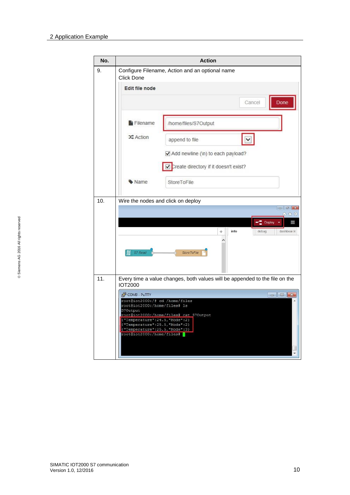<span id="page-9-0"></span>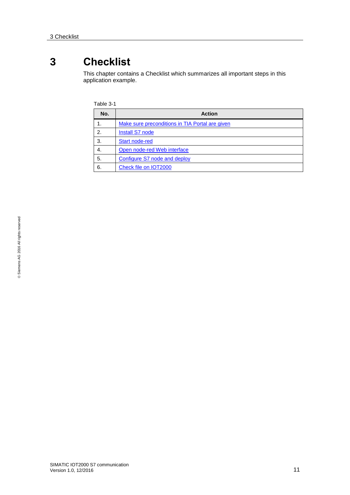### <span id="page-10-0"></span>**3 Checklist**

This chapter contains a Checklist which summarizes all important steps in this application example.

| Fable 3- |
|----------|
|          |

| No. | <b>Action</b>                                   |  |
|-----|-------------------------------------------------|--|
|     | Make sure preconditions in TIA Portal are given |  |
| 2.  | <b>Install S7 node</b>                          |  |
| 3.  | <b>Start node-red</b>                           |  |
| 4.  | Open node-red Web interface                     |  |
| 5.  | Configure S7 node and deploy                    |  |
| 6.  | Check file on IOT2000                           |  |